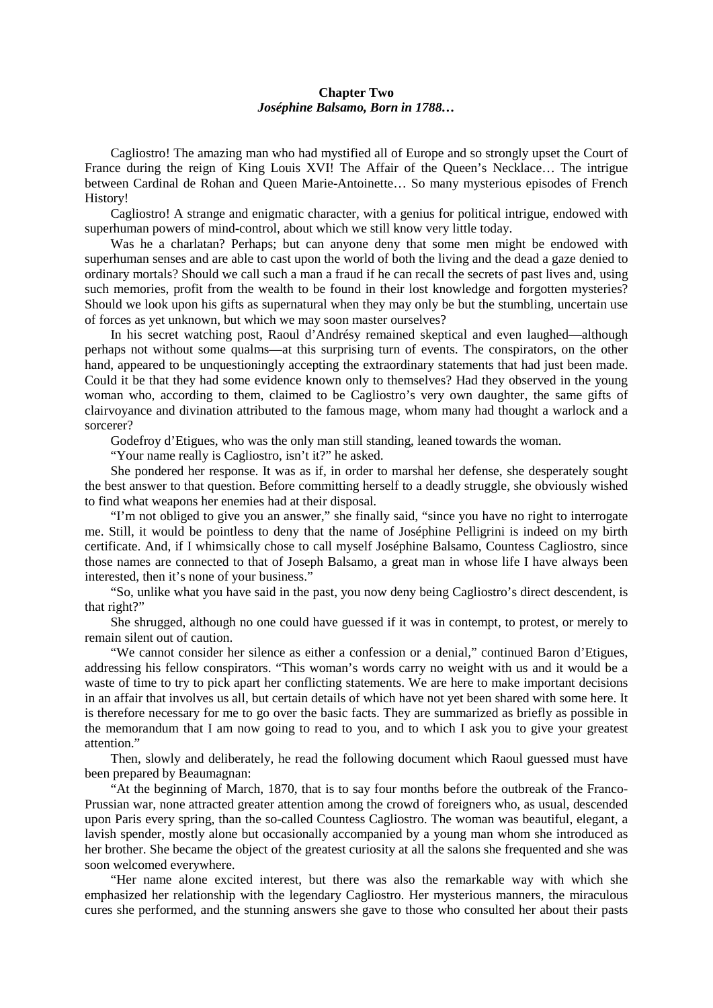## **Chapter Two** *Joséphine Balsamo, Born in 1788…*

Cagliostro! The amazing man who had mystified all of Europe and so strongly upset the Court of France during the reign of King Louis XVI! The Affair of the Queen's Necklace… The intrigue between Cardinal de Rohan and Queen Marie-Antoinette… So many mysterious episodes of French History!

Cagliostro! A strange and enigmatic character, with a genius for political intrigue, endowed with superhuman powers of mind-control, about which we still know very little today.

Was he a charlatan? Perhaps; but can anyone deny that some men might be endowed with superhuman senses and are able to cast upon the world of both the living and the dead a gaze denied to ordinary mortals? Should we call such a man a fraud if he can recall the secrets of past lives and, using such memories, profit from the wealth to be found in their lost knowledge and forgotten mysteries? Should we look upon his gifts as supernatural when they may only be but the stumbling, uncertain use of forces as yet unknown, but which we may soon master ourselves?

In his secret watching post, Raoul d'Andrésy remained skeptical and even laughed—although perhaps not without some qualms—at this surprising turn of events. The conspirators, on the other hand, appeared to be unquestioningly accepting the extraordinary statements that had just been made. Could it be that they had some evidence known only to themselves? Had they observed in the young woman who, according to them, claimed to be Cagliostro's very own daughter, the same gifts of clairvoyance and divination attributed to the famous mage, whom many had thought a warlock and a sorcerer?

Godefroy d'Etigues, who was the only man still standing, leaned towards the woman.

"Your name really is Cagliostro, isn't it?" he asked.

She pondered her response. It was as if, in order to marshal her defense, she desperately sought the best answer to that question. Before committing herself to a deadly struggle, she obviously wished to find what weapons her enemies had at their disposal.

"I'm not obliged to give you an answer," she finally said, "since you have no right to interrogate me. Still, it would be pointless to deny that the name of Joséphine Pelligrini is indeed on my birth certificate. And, if I whimsically chose to call myself Joséphine Balsamo, Countess Cagliostro, since those names are connected to that of Joseph Balsamo, a great man in whose life I have always been interested, then it's none of your business."

"So, unlike what you have said in the past, you now deny being Cagliostro's direct descendent, is that right?"

She shrugged, although no one could have guessed if it was in contempt, to protest, or merely to remain silent out of caution.

"We cannot consider her silence as either a confession or a denial," continued Baron d'Etigues, addressing his fellow conspirators. "This woman's words carry no weight with us and it would be a waste of time to try to pick apart her conflicting statements. We are here to make important decisions in an affair that involves us all, but certain details of which have not yet been shared with some here. It is therefore necessary for me to go over the basic facts. They are summarized as briefly as possible in the memorandum that I am now going to read to you, and to which I ask you to give your greatest attention."

Then, slowly and deliberately, he read the following document which Raoul guessed must have been prepared by Beaumagnan:

"At the beginning of March, 1870, that is to say four months before the outbreak of the Franco-Prussian war, none attracted greater attention among the crowd of foreigners who, as usual, descended upon Paris every spring, than the so-called Countess Cagliostro. The woman was beautiful, elegant, a lavish spender, mostly alone but occasionally accompanied by a young man whom she introduced as her brother. She became the object of the greatest curiosity at all the salons she frequented and she was soon welcomed everywhere.

"Her name alone excited interest, but there was also the remarkable way with which she emphasized her relationship with the legendary Cagliostro. Her mysterious manners, the miraculous cures she performed, and the stunning answers she gave to those who consulted her about their pasts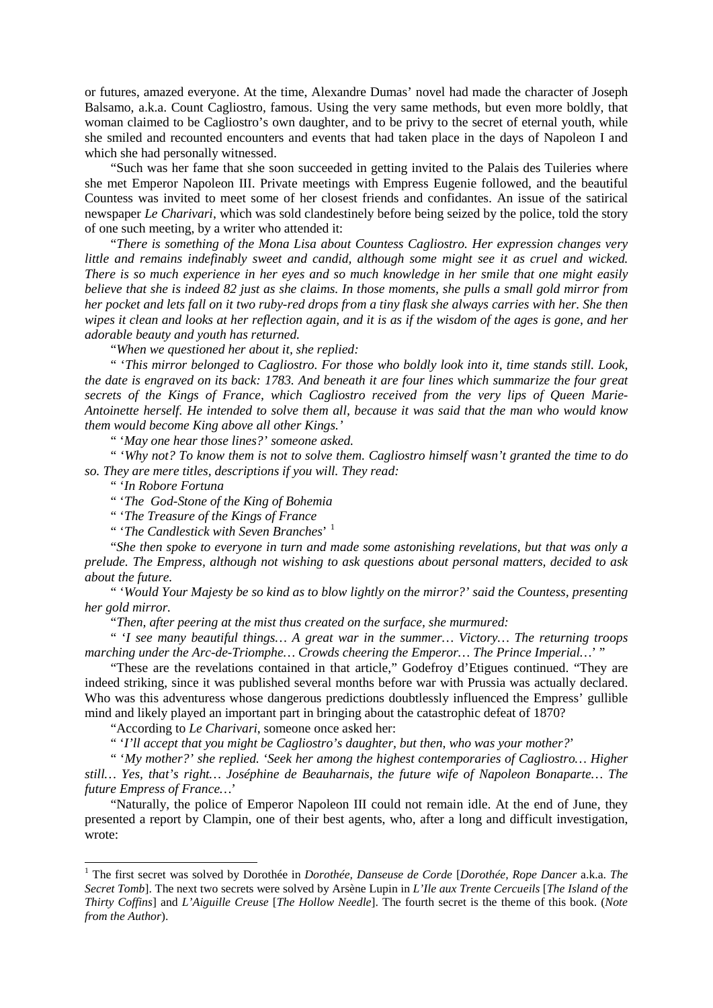or futures, amazed everyone. At the time, Alexandre Dumas' novel had made the character of Joseph Balsamo, a.k.a. Count Cagliostro, famous. Using the very same methods, but even more boldly, that woman claimed to be Cagliostro's own daughter, and to be privy to the secret of eternal youth, while she smiled and recounted encounters and events that had taken place in the days of Napoleon I and which she had personally witnessed.

"Such was her fame that she soon succeeded in getting invited to the Palais des Tuileries where she met Emperor Napoleon III. Private meetings with Empress Eugenie followed, and the beautiful Countess was invited to meet some of her closest friends and confidantes. An issue of the satirical newspaper *Le Charivari*, which was sold clandestinely before being seized by the police, told the story of one such meeting, by a writer who attended it:

"*There is something of the Mona Lisa about Countess Cagliostro. Her expression changes very little and remains indefinably sweet and candid, although some might see it as cruel and wicked. There is so much experience in her eyes and so much knowledge in her smile that one might easily believe that she is indeed 82 just as she claims. In those moments, she pulls a small gold mirror from her pocket and lets fall on it two ruby-red drops from a tiny flask she always carries with her. She then wipes it clean and looks at her reflection again, and it is as if the wisdom of the ages is gone, and her adorable beauty and youth has returned.*

"*When we questioned her about it, she replied:*

" '*This mirror belonged to Cagliostro. For those who boldly look into it, time stands still. Look, the date is engraved on its back: 1783. And beneath it are four lines which summarize the four great secrets of the Kings of France, which Cagliostro received from the very lips of Queen Marie-Antoinette herself. He intended to solve them all, because it was said that the man who would know them would become King above all other Kings.'*

" '*May one hear those lines?' someone asked.*

" '*Why not? To know them is not to solve them. Cagliostro himself wasn't granted the time to do so. They are mere titles, descriptions if you will. They read:*

" '*In Robore Fortuna*

" '*The God-Stone of the King of Bohemia*

" '*The Treasure of the Kings of France*

" '*The Candlestick with Seven Branches*' [1](#page-1-0)

"*She then spoke to everyone in turn and made some astonishing revelations, but that was only a prelude. The Empress, although not wishing to ask questions about personal matters, decided to ask about the future.*

" '*Would Your Majesty be so kind as to blow lightly on the mirror?' said the Countess, presenting her gold mirror.*

"*Then, after peering at the mist thus created on the surface, she murmured:*

" '*I see many beautiful things… A great war in the summer… Victory… The returning troops marching under the Arc-de-Triomphe… Crowds cheering the Emperor… The Prince Imperial…*' "

"These are the revelations contained in that article," Godefroy d'Etigues continued. "They are indeed striking, since it was published several months before war with Prussia was actually declared. Who was this adventuress whose dangerous predictions doubtlessly influenced the Empress' gullible mind and likely played an important part in bringing about the catastrophic defeat of 1870?

"According to *Le Charivari*, someone once asked her:

" '*I'll accept that you might be Cagliostro's daughter, but then, who was your mother?*'

" '*My mother?' she replied. 'Seek her among the highest contemporaries of Cagliostro… Higher still… Yes, that's right… Joséphine de Beauharnais, the future wife of Napoleon Bonaparte… The future Empress of France…*'

"Naturally, the police of Emperor Napoleon III could not remain idle. At the end of June, they presented a report by Clampin, one of their best agents, who, after a long and difficult investigation, wrote:

<span id="page-1-0"></span> <sup>1</sup> The first secret was solved by Dorothée in *Dorothée, Danseuse de Corde* [*Dorothée, Rope Dancer* a.k.a. *The Secret Tomb*]. The next two secrets were solved by Arsène Lupin in *L'Ile aux Trente Cercueils* [*The Island of the Thirty Coffins*] and *L'Aiguille Creuse* [*The Hollow Needle*]. The fourth secret is the theme of this book. (*Note from the Author*).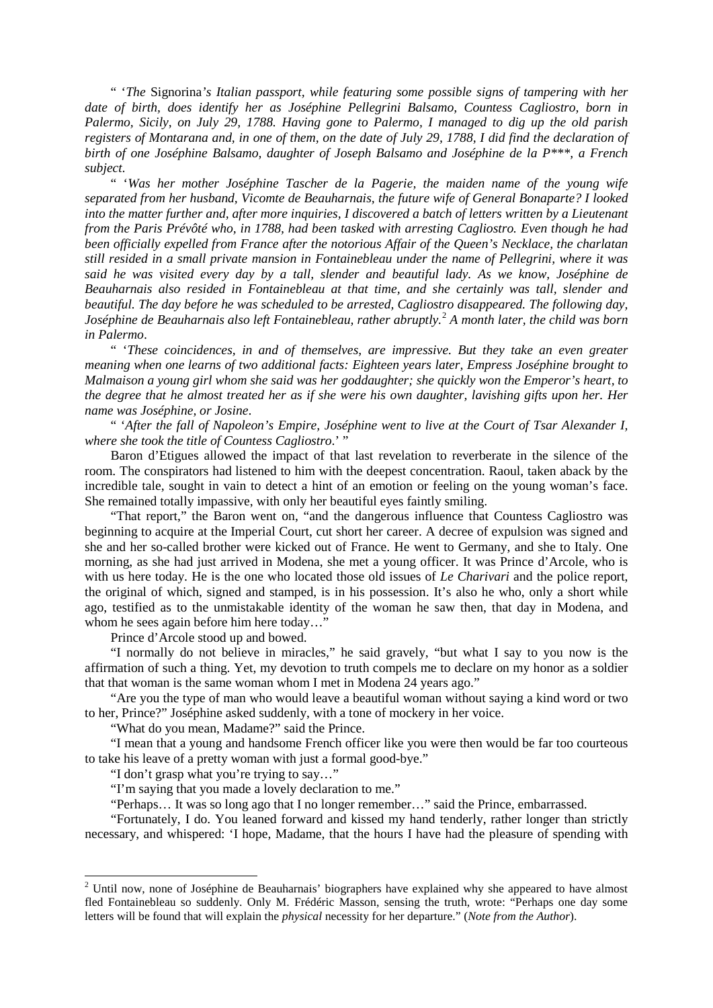" '*The* Signorina*'s Italian passport, while featuring some possible signs of tampering with her date of birth, does identify her as Joséphine Pellegrini Balsamo, Countess Cagliostro, born in Palermo, Sicily, on July 29, 1788. Having gone to Palermo, I managed to dig up the old parish registers of Montarana and, in one of them, on the date of July 29, 1788, I did find the declaration of birth of one Joséphine Balsamo, daughter of Joseph Balsamo and Joséphine de la P\*\*\*, a French subject.*

" '*Was her mother Joséphine Tascher de la Pagerie, the maiden name of the young wife separated from her husband, Vicomte de Beauharnais, the future wife of General Bonaparte? I looked into the matter further and, after more inquiries, I discovered a batch of letters written by a Lieutenant from the Paris Prévôté who, in 1788, had been tasked with arresting Cagliostro. Even though he had been officially expelled from France after the notorious Affair of the Queen's Necklace, the charlatan still resided in a small private mansion in Fontainebleau under the name of Pellegrini, where it was said he was visited every day by a tall, slender and beautiful lady. As we know, Joséphine de Beauharnais also resided in Fontainebleau at that time, and she certainly was tall, slender and beautiful. The day before he was scheduled to be arrested, Cagliostro disappeared. The following day, Joséphine de Beauharnais also left Fontainebleau, rather abruptly.*[2](#page-2-0) *A month later, the child was born in Palermo*.

" '*These coincidences, in and of themselves, are impressive. But they take an even greater meaning when one learns of two additional facts: Eighteen years later, Empress Joséphine brought to Malmaison a young girl whom she said was her goddaughter; she quickly won the Emperor's heart, to the degree that he almost treated her as if she were his own daughter, lavishing gifts upon her. Her name was Joséphine, or Josine*.

" '*After the fall of Napoleon's Empire, Joséphine went to live at the Court of Tsar Alexander I, where she took the title of Countess Cagliostro*.' "

Baron d'Etigues allowed the impact of that last revelation to reverberate in the silence of the room. The conspirators had listened to him with the deepest concentration. Raoul, taken aback by the incredible tale, sought in vain to detect a hint of an emotion or feeling on the young woman's face. She remained totally impassive, with only her beautiful eyes faintly smiling.

"That report," the Baron went on, "and the dangerous influence that Countess Cagliostro was beginning to acquire at the Imperial Court, cut short her career. A decree of expulsion was signed and she and her so-called brother were kicked out of France. He went to Germany, and she to Italy. One morning, as she had just arrived in Modena, she met a young officer. It was Prince d'Arcole, who is with us here today. He is the one who located those old issues of *Le Charivari* and the police report, the original of which, signed and stamped, is in his possession. It's also he who, only a short while ago, testified as to the unmistakable identity of the woman he saw then, that day in Modena, and whom he sees again before him here today..."

Prince d'Arcole stood up and bowed.

"I normally do not believe in miracles," he said gravely, "but what I say to you now is the affirmation of such a thing. Yet, my devotion to truth compels me to declare on my honor as a soldier that that woman is the same woman whom I met in Modena 24 years ago."

"Are you the type of man who would leave a beautiful woman without saying a kind word or two to her, Prince?" Joséphine asked suddenly, with a tone of mockery in her voice.

"What do you mean, Madame?" said the Prince.

"I mean that a young and handsome French officer like you were then would be far too courteous to take his leave of a pretty woman with just a formal good-bye."

"I don't grasp what you're trying to say…"

"I'm saying that you made a lovely declaration to me."

"Perhaps… It was so long ago that I no longer remember…" said the Prince, embarrassed.

"Fortunately, I do. You leaned forward and kissed my hand tenderly, rather longer than strictly necessary, and whispered: 'I hope, Madame, that the hours I have had the pleasure of spending with

<span id="page-2-0"></span><sup>&</sup>lt;sup>2</sup> Until now, none of Joséphine de Beauharnais' biographers have explained why she appeared to have almost fled Fontainebleau so suddenly. Only M. Frédéric Masson, sensing the truth, wrote: "Perhaps one day some letters will be found that will explain the *physical* necessity for her departure." (*Note from the Author*).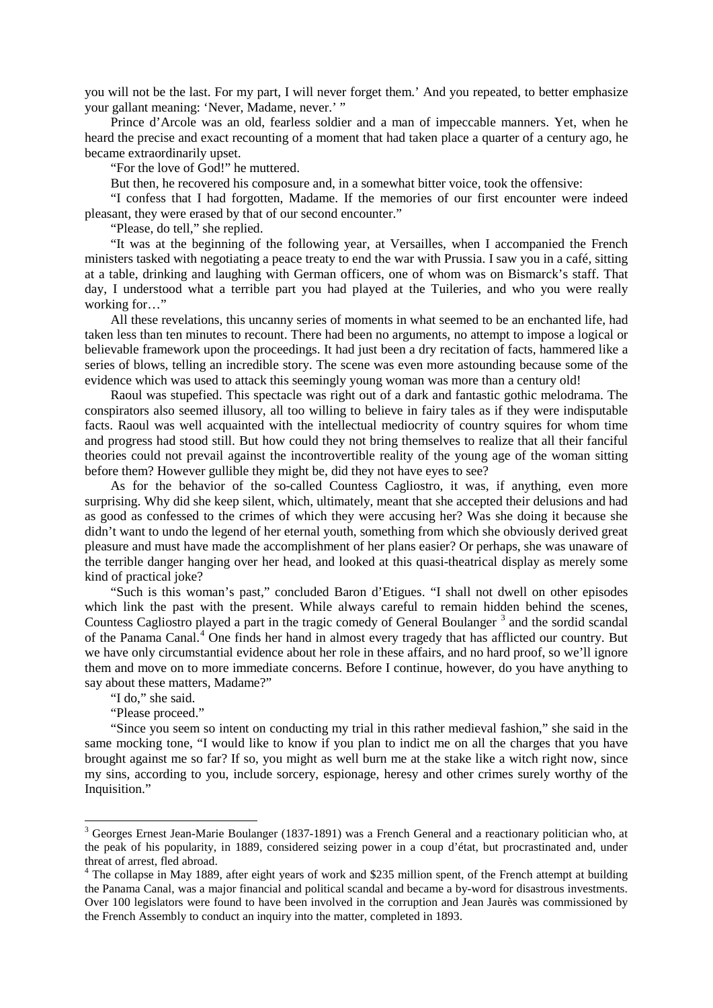you will not be the last. For my part, I will never forget them.' And you repeated, to better emphasize your gallant meaning: 'Never, Madame, never.' "

Prince d'Arcole was an old, fearless soldier and a man of impeccable manners. Yet, when he heard the precise and exact recounting of a moment that had taken place a quarter of a century ago, he became extraordinarily upset.

"For the love of God!" he muttered.

But then, he recovered his composure and, in a somewhat bitter voice, took the offensive:

"I confess that I had forgotten, Madame. If the memories of our first encounter were indeed pleasant, they were erased by that of our second encounter."

"Please, do tell," she replied.

"It was at the beginning of the following year, at Versailles, when I accompanied the French ministers tasked with negotiating a peace treaty to end the war with Prussia. I saw you in a café, sitting at a table, drinking and laughing with German officers, one of whom was on Bismarck's staff. That day, I understood what a terrible part you had played at the Tuileries, and who you were really working for..."

All these revelations, this uncanny series of moments in what seemed to be an enchanted life, had taken less than ten minutes to recount. There had been no arguments, no attempt to impose a logical or believable framework upon the proceedings. It had just been a dry recitation of facts, hammered like a series of blows, telling an incredible story. The scene was even more astounding because some of the evidence which was used to attack this seemingly young woman was more than a century old!

Raoul was stupefied. This spectacle was right out of a dark and fantastic gothic melodrama. The conspirators also seemed illusory, all too willing to believe in fairy tales as if they were indisputable facts. Raoul was well acquainted with the intellectual mediocrity of country squires for whom time and progress had stood still. But how could they not bring themselves to realize that all their fanciful theories could not prevail against the incontrovertible reality of the young age of the woman sitting before them? However gullible they might be, did they not have eyes to see?

As for the behavior of the so-called Countess Cagliostro, it was, if anything, even more surprising. Why did she keep silent, which, ultimately, meant that she accepted their delusions and had as good as confessed to the crimes of which they were accusing her? Was she doing it because she didn't want to undo the legend of her eternal youth, something from which she obviously derived great pleasure and must have made the accomplishment of her plans easier? Or perhaps, she was unaware of the terrible danger hanging over her head, and looked at this quasi-theatrical display as merely some kind of practical joke?

"Such is this woman's past," concluded Baron d'Etigues. "I shall not dwell on other episodes which link the past with the present. While always careful to remain hidden behind the scenes, Countess Cagliostro played a part in the tragic comedy of General Boulanger<sup>[3](#page-3-0)</sup> and the sordid scandal of the Panama Canal.<sup>[4](#page-3-1)</sup> One finds her hand in almost every tragedy that has afflicted our country. But we have only circumstantial evidence about her role in these affairs, and no hard proof, so we'll ignore them and move on to more immediate concerns. Before I continue, however, do you have anything to say about these matters, Madame?"

"I do," she said.

"Please proceed."

"Since you seem so intent on conducting my trial in this rather medieval fashion," she said in the same mocking tone, "I would like to know if you plan to indict me on all the charges that you have brought against me so far? If so, you might as well burn me at the stake like a witch right now, since my sins, according to you, include sorcery, espionage, heresy and other crimes surely worthy of the Inquisition."

<span id="page-3-0"></span><sup>&</sup>lt;sup>3</sup> Georges Ernest Jean-Marie Boulanger (1837-1891) was a French General and a reactionary politician who, at the peak of his popularity, in 1889, considered seizing power in a coup d'état, but procrastinated and, under threat of arrest, fled abroad.

<span id="page-3-1"></span><sup>&</sup>lt;sup>4</sup> The collapse in May 1889, after eight years of work and \$235 million spent, of the French attempt at building the Panama Canal, was a major financial and political scandal and became a by-word for disastrous investments. Over 100 legislators were found to have been involved in the corruption and Jean Jaurès was commissioned by the French Assembly to conduct an inquiry into the matter, completed in 1893.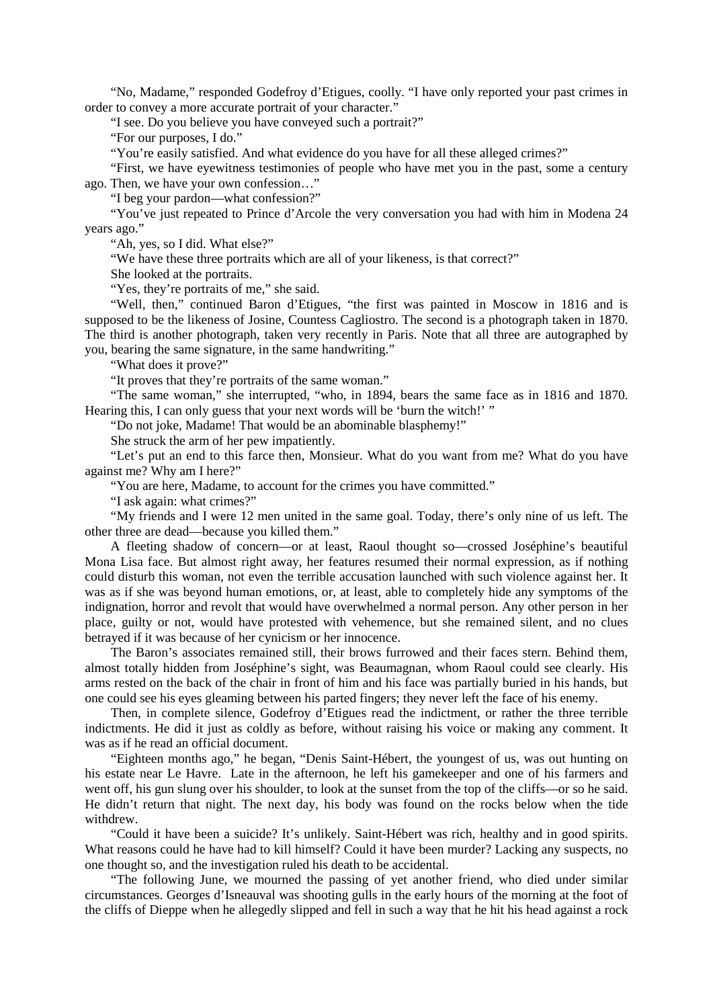"No, Madame," responded Godefroy d'Etigues, coolly. "I have only reported your past crimes in order to convey a more accurate portrait of your character."

"I see. Do you believe you have conveyed such a portrait?"

"For our purposes, I do."

"You're easily satisfied. And what evidence do you have for all these alleged crimes?"

"First, we have eyewitness testimonies of people who have met you in the past, some a century ago. Then, we have your own confession…"

"I beg your pardon—what confession?"

"You've just repeated to Prince d'Arcole the very conversation you had with him in Modena 24 years ago."

"Ah, yes, so I did. What else?"

"We have these three portraits which are all of your likeness, is that correct?"

She looked at the portraits.

"Yes, they're portraits of me," she said.

"Well, then," continued Baron d'Etigues, "the first was painted in Moscow in 1816 and is supposed to be the likeness of Josine, Countess Cagliostro. The second is a photograph taken in 1870. The third is another photograph, taken very recently in Paris. Note that all three are autographed by you, bearing the same signature, in the same handwriting."

"What does it prove?"

"It proves that they're portraits of the same woman."

"The same woman," she interrupted, "who, in 1894, bears the same face as in 1816 and 1870. Hearing this, I can only guess that your next words will be 'burn the witch!' "

"Do not joke, Madame! That would be an abominable blasphemy!"

She struck the arm of her pew impatiently.

"Let's put an end to this farce then, Monsieur. What do you want from me? What do you have against me? Why am I here?"

"You are here, Madame, to account for the crimes you have committed."

"I ask again: what crimes?"

"My friends and I were 12 men united in the same goal. Today, there's only nine of us left. The other three are dead—because you killed them."

A fleeting shadow of concern—or at least, Raoul thought so—crossed Joséphine's beautiful Mona Lisa face. But almost right away, her features resumed their normal expression, as if nothing could disturb this woman, not even the terrible accusation launched with such violence against her. It was as if she was beyond human emotions, or, at least, able to completely hide any symptoms of the indignation, horror and revolt that would have overwhelmed a normal person. Any other person in her place, guilty or not, would have protested with vehemence, but she remained silent, and no clues betrayed if it was because of her cynicism or her innocence.

The Baron's associates remained still, their brows furrowed and their faces stern. Behind them, almost totally hidden from Joséphine's sight, was Beaumagnan, whom Raoul could see clearly. His arms rested on the back of the chair in front of him and his face was partially buried in his hands, but one could see his eyes gleaming between his parted fingers; they never left the face of his enemy.

Then, in complete silence, Godefroy d'Etigues read the indictment, or rather the three terrible indictments. He did it just as coldly as before, without raising his voice or making any comment. It was as if he read an official document.

"Eighteen months ago," he began, "Denis Saint-Hébert, the youngest of us, was out hunting on his estate near Le Havre. Late in the afternoon, he left his gamekeeper and one of his farmers and went off, his gun slung over his shoulder, to look at the sunset from the top of the cliffs—or so he said. He didn't return that night. The next day, his body was found on the rocks below when the tide withdrew.

"Could it have been a suicide? It's unlikely. Saint-Hébert was rich, healthy and in good spirits. What reasons could he have had to kill himself? Could it have been murder? Lacking any suspects, no one thought so, and the investigation ruled his death to be accidental.

"The following June, we mourned the passing of yet another friend, who died under similar circumstances. Georges d'Isneauval was shooting gulls in the early hours of the morning at the foot of the cliffs of Dieppe when he allegedly slipped and fell in such a way that he hit his head against a rock